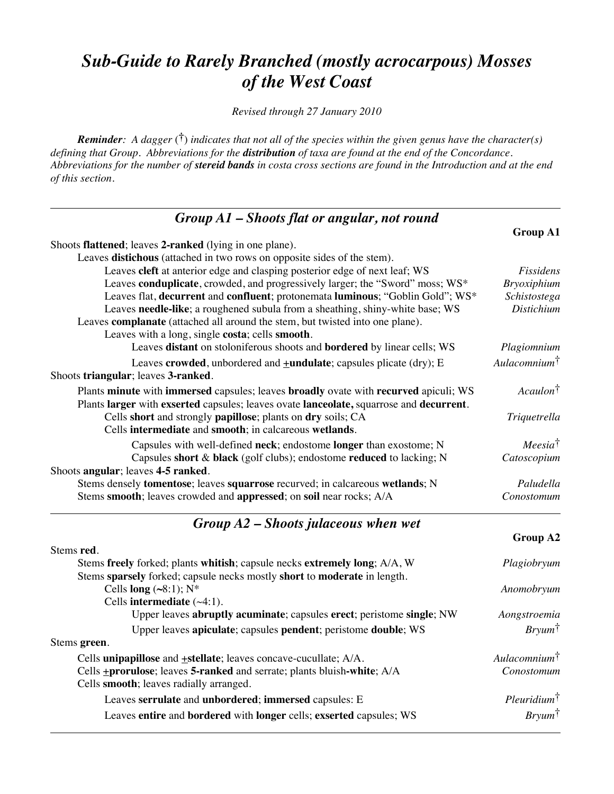### *Sub-Guide to Rarely Branched (mostly acrocarpous) Mosses of the West Coast*

*Revised through 27 January 2010*

*Reminder: A dagger* (**†**) *indicates that not all of the species within the given genus have the character(s) defining that Group. Abbreviations for the distribution of taxa are found at the end of the Concordance. Abbreviations for the number of stereid bands in costa cross sections are found in the Introduction and at the end of this section.*

| $Group A1 - shoots flat or angular, not round$                                          |                          |
|-----------------------------------------------------------------------------------------|--------------------------|
|                                                                                         | Group A1                 |
| Shoots flattened; leaves 2-ranked (lying in one plane).                                 |                          |
| Leaves distichous (attached in two rows on opposite sides of the stem).                 |                          |
| Leaves cleft at anterior edge and clasping posterior edge of next leaf; WS              | Fissidens                |
| Leaves conduplicate, crowded, and progressively larger; the "Sword" moss; WS*           | <b>Bryoxiphium</b>       |
| Leaves flat, decurrent and confluent; protonemata luminous; "Goblin Gold"; WS*          | Schistostega             |
| Leaves needle-like; a roughened subula from a sheathing, shiny-white base; WS           | <b>Distichium</b>        |
| Leaves complanate (attached all around the stem, but twisted into one plane).           |                          |
| Leaves with a long, single costa; cells smooth.                                         |                          |
| Leaves distant on stoloniferous shoots and bordered by linear cells; WS                 | Plagiomnium              |
| Leaves crowded, unbordered and $\pm$ undulate; capsules plicate (dry); E                | Aulacomnium <sup>†</sup> |
| Shoots triangular; leaves 3-ranked.                                                     |                          |
| Plants minute with immersed capsules; leaves broadly ovate with recurved apiculi; WS    | Acaulon <sup>†</sup>     |
| Plants larger with exserted capsules; leaves ovate lanceolate, squarrose and decurrent. |                          |
| Cells short and strongly papillose; plants on dry soils; CA                             | Triquetrella             |
| Cells intermediate and smooth; in calcareous wetlands.                                  |                          |
| Capsules with well-defined neck; endostome longer than exostome; N                      | Meesia <sup>†</sup>      |
| Capsules short & black (golf clubs); endostome reduced to lacking; N                    | Catoscopium              |
| Shoots angular; leaves 4-5 ranked.                                                      |                          |
| Stems densely tomentose; leaves squarrose recurved; in calcareous wetlands; N           | Paludella                |
| Stems smooth; leaves crowded and appressed; on soil near rocks; A/A                     | Conostomum               |
|                                                                                         |                          |

### *Group A2 – Shoots julaceous when wet*

|                                                                                 | Group A2                 |
|---------------------------------------------------------------------------------|--------------------------|
| Stems red.                                                                      |                          |
| Stems freely forked; plants whitish; capsule necks extremely long; A/A, W       | Plagiobryum              |
| Stems sparsely forked; capsule necks mostly short to moderate in length.        |                          |
| Cells long $(\sim 8:1)$ ; N <sup>*</sup>                                        | Anomobryum               |
| Cells intermediate $(\sim4:1)$ .                                                |                          |
| Upper leaves abruptly acuminate; capsules erect; peristome single; NW           | Aongstroemia             |
| Upper leaves apiculate; capsules pendent; peristome double; WS                  | $Bry \mu m^{\dagger}$    |
| Stems green.                                                                    |                          |
| Cells unipapillose and $\pm$ stellate; leaves concave-cucullate; $A/A$ .        | Aulacomnium <sup>†</sup> |
| Cells <b>+prorulose</b> ; leaves 5-ranked and serrate; plants bluish-white; A/A | Conostomum               |
| Cells smooth; leaves radially arranged.                                         |                          |
| Leaves serrulate and unbordered; immersed capsules: E                           | $Pleuridium^{\dagger}$   |
| Leaves entire and bordered with longer cells; exserted capsules; WS             | $Bry \mu m^{\dagger}$    |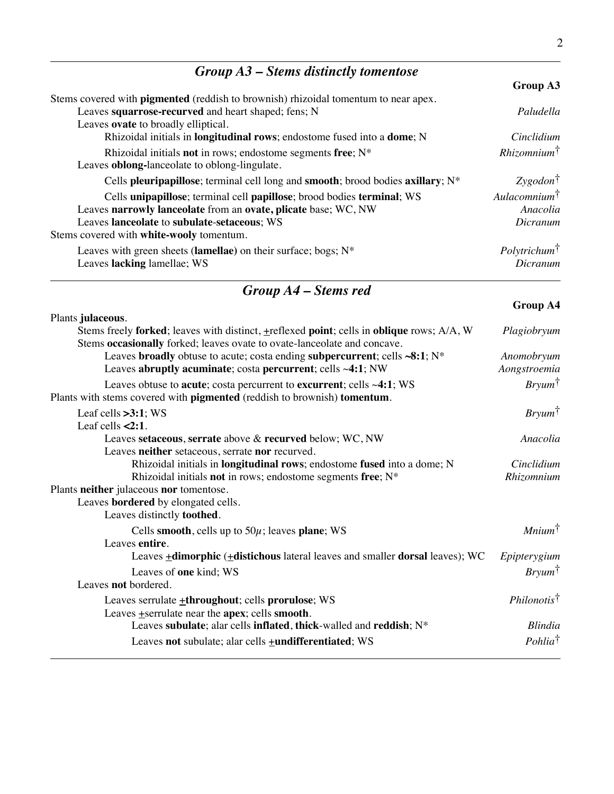# *Group A3 – Stems distinctly tomentose*

|                                                                                            | Group A3                 |
|--------------------------------------------------------------------------------------------|--------------------------|
| Stems covered with <b>pigmented</b> (reddish to brownish) rhizoidal tomentum to near apex. |                          |
| Leaves squarrose-recurved and heart shaped; fens; N                                        | Paludella                |
| Leaves ovate to broadly elliptical.                                                        |                          |
| Rhizoidal initials in <b>longitudinal rows</b> ; endostome fused into a <b>dome</b> ; N    | Cinclidium               |
| Rhizoidal initials <b>not</b> in rows; endostome segments free; $N^*$                      | $Rhizomnim^{\dagger}$    |
| Leaves <b>oblong-lanceolate</b> to oblong-lingulate.                                       |                          |
| Cells pleuripapillose; terminal cell long and smooth; brood bodies axillary; N*            | $Zygodon^{\dagger}$      |
| Cells unipapillose; terminal cell papillose; brood bodies terminal; WS                     | Aulacomnium <sup>†</sup> |
| Leaves narrowly lanceolate from an ovate, plicate base; WC, NW                             | Anacolia                 |
| Leaves lanceolate to subulate-setaceous; WS                                                | Dicranum                 |
| Stems covered with <b>white-wooly</b> tomentum.                                            |                          |
| Leaves with green sheets (lamellae) on their surface; bogs; $N^*$                          | Poly trichum             |
| Leaves lacking lamellae; WS                                                                | Dicranum                 |
|                                                                                            |                          |

# *Group A4 – Stems red*

|                                                                                                                                                                            | <b>GLUUP A4</b>              |
|----------------------------------------------------------------------------------------------------------------------------------------------------------------------------|------------------------------|
| Plants julaceous.                                                                                                                                                          |                              |
| Stems freely forked; leaves with distinct, $\pm$ reflexed point; cells in oblique rows; A/A, W<br>Stems occasionally forked; leaves ovate to ovate-lanceolate and concave. | Plagiobryum                  |
| Leaves broadly obtuse to acute; costa ending subpercurrent; cells $\sim 8:1; N^*$                                                                                          | Anomobryum                   |
| Leaves abruptly acuminate; costa percurrent; cells ~4:1; NW                                                                                                                | Aongstroemia                 |
| Leaves obtuse to acute; costa percurrent to excurrent; cells $\sim$ 4:1; WS<br>Plants with stems covered with pigmented (reddish to brownish) tomentum.                    | $Bryum^{\dagger}$            |
| Leaf cells $>3:1$ ; WS                                                                                                                                                     | $Bry \mu m^{\dagger}$        |
| Leaf cells $\leq$ 2:1.                                                                                                                                                     |                              |
| Leaves setaceous, serrate above & recurved below; WC, NW                                                                                                                   | Anacolia                     |
| Leaves neither setaceous, serrate nor recurved.                                                                                                                            |                              |
| Rhizoidal initials in <b>longitudinal rows</b> ; endostome fused into a dome; N                                                                                            | Cinclidium                   |
| Rhizoidal initials not in rows; endostome segments free; $N^*$                                                                                                             | Rhizomnium                   |
| Plants neither julaceous nor tomentose.                                                                                                                                    |                              |
| Leaves bordered by elongated cells.                                                                                                                                        |                              |
| Leaves distinctly toothed.                                                                                                                                                 |                              |
| Cells smooth, cells up to $50\mu$ ; leaves plane; WS                                                                                                                       | $\textit{Minimum}^{\dagger}$ |
| Leaves entire.                                                                                                                                                             |                              |
| Leaves +dimorphic (+distichous lateral leaves and smaller dorsal leaves); WC                                                                                               | Epipterygium                 |
| Leaves of one kind; WS                                                                                                                                                     | $Bryum^{\dagger}$            |
| Leaves <b>not</b> bordered.                                                                                                                                                |                              |
| Leaves serrulate <b>+throughout</b> ; cells prorulose; WS                                                                                                                  | Philonotis <sup>†</sup>      |
| Leaves + serrulate near the apex; cells smooth.                                                                                                                            |                              |
| Leaves subulate; alar cells inflated, thick-walled and reddish; N*                                                                                                         | <b>Blindia</b>               |
| Leaves not subulate; alar cells <b>+undifferentiated</b> ; WS                                                                                                              | Pohlia <sup>†</sup>          |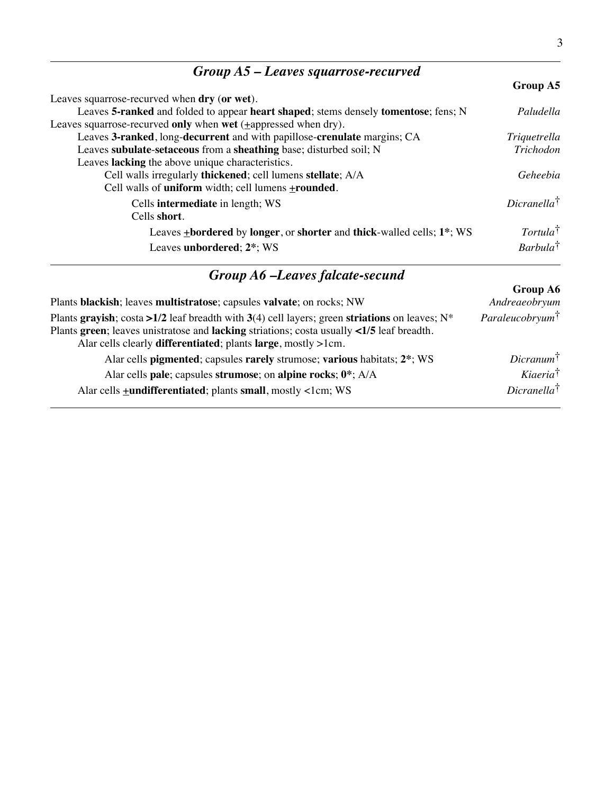| $Group A5 - Leaves square, required$                                                                             |                        |
|------------------------------------------------------------------------------------------------------------------|------------------------|
|                                                                                                                  | Group A5               |
| Leaves squarrose-recurved when dry (or wet).                                                                     |                        |
| Leaves 5-ranked and folded to appear heart shaped; stems densely tomentose; fens; N                              | Paludella              |
| Leaves squarrose-recurved only when wet $(\pm$ appressed when dry).                                              |                        |
| Leaves 3-ranked, long-decurrent and with papillose-crenulate margins; CA                                         | Triquetrella           |
| Leaves subulate-setaceous from a sheathing base; disturbed soil; N                                               | Trichodon              |
| Leaves lacking the above unique characteristics.                                                                 |                        |
| Cell walls irregularly thickened; cell lumens stellate; A/A                                                      | Geheebia               |
| Cell walls of uniform width; cell lumens $\pm$ rounded.                                                          |                        |
| Cells <b>intermediate</b> in length; WS                                                                          | $Dicranella^{\dagger}$ |
| Cells short.                                                                                                     |                        |
| Leaves <b>+bordered</b> by <b>longer</b> , or <b>shorter</b> and <b>thick</b> -walled cells; 1 <sup>*</sup> ; WS | Tortula <sup>†</sup>   |
| Leaves unbordered; 2 <sup>*</sup> ; WS                                                                           | $Barbula^{\dagger}$    |

| <b>Group A6 –Leaves falcate-secund</b> |
|----------------------------------------|
|                                        |

| Plants blackish; leaves multistratose; capsules valvate; on rocks; NW                                                                                                                                                                                                                           | Group A6<br>Andreaeobryum   |
|-------------------------------------------------------------------------------------------------------------------------------------------------------------------------------------------------------------------------------------------------------------------------------------------------|-----------------------------|
| Plants grayish; costa >1/2 leaf breadth with 3(4) cell layers; green striations on leaves; $N^*$<br>Plants green; leaves unistratose and lacking striations; costa usually $\langle 1/5 \rangle$ leaf breadth.<br>Alar cells clearly <b>differentiated</b> ; plants <b>large</b> , mostly >1cm. | Paraleucobryum <sup>†</sup> |
| Alar cells pigmented; capsules rarely strumose; various habitats; 2 <sup>*</sup> ; WS                                                                                                                                                                                                           | $Dicramum^{\dagger}$        |
| Alar cells pale; capsules strumose; on alpine rocks; $0^*$ ; A/A                                                                                                                                                                                                                                | Kiaeria <sup>†</sup>        |
| Alar cells <b>+undifferentiated</b> ; plants small, mostly <1cm; WS                                                                                                                                                                                                                             | $Dicranella^{\dagger}$      |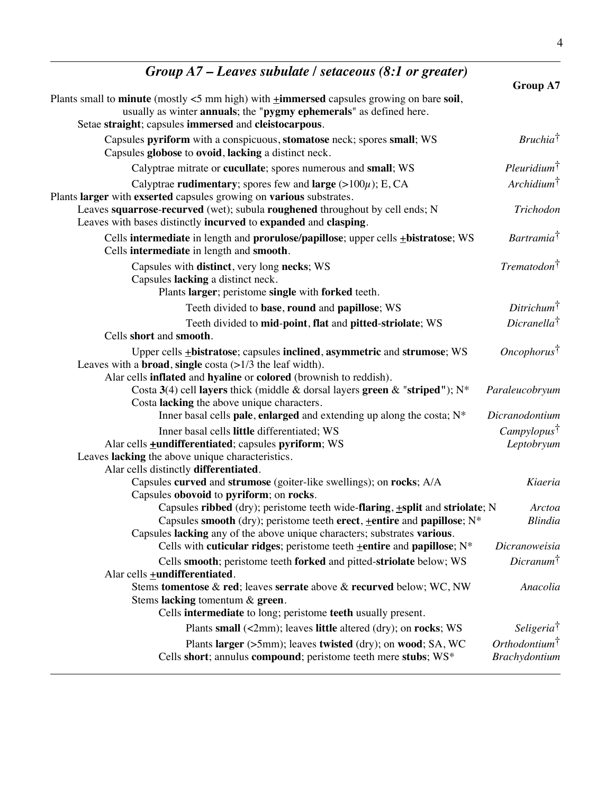| Group $A7$ – Leaves subulate / setaceous (8:1 or greater)                                                                                                                                                                                                 |                                            |
|-----------------------------------------------------------------------------------------------------------------------------------------------------------------------------------------------------------------------------------------------------------|--------------------------------------------|
|                                                                                                                                                                                                                                                           | <b>Group A7</b>                            |
| Plants small to <b>minute</b> (mostly $\lt$ 5 mm high) with $\pm$ <b>immersed</b> capsules growing on bare soil,<br>usually as winter annuals; the "pygmy ephemerals" as defined here.                                                                    |                                            |
| Setae straight; capsules immersed and cleistocarpous.                                                                                                                                                                                                     |                                            |
| Capsules pyriform with a conspicuous, stomatose neck; spores small; WS<br>Capsules globose to ovoid, lacking a distinct neck.                                                                                                                             | $Bruchia^{\dagger}$                        |
| Calyptrae mitrate or cucullate; spores numerous and small; WS                                                                                                                                                                                             | $Pleuridium^{\dagger}$                     |
| Calyptrae rudimentary; spores few and large $(>100\mu)$ ; E, CA<br>Plants larger with exserted capsules growing on various substrates.                                                                                                                    | $Archidium^{\dagger}$                      |
| Leaves squarrose-recurved (wet); subula roughened throughout by cell ends; N<br>Leaves with bases distinctly incurved to expanded and clasping.                                                                                                           | Trichodon                                  |
| Cells intermediate in length and prorulose/papillose; upper cells + bistratose; WS<br>Cells intermediate in length and smooth.                                                                                                                            | Bartramia <sup>†</sup>                     |
| Capsules with distinct, very long necks; WS<br>Capsules lacking a distinct neck.                                                                                                                                                                          | $Trematodon^{\dagger}$                     |
| Plants larger; peristome single with forked teeth.                                                                                                                                                                                                        |                                            |
| Teeth divided to base, round and papillose; WS                                                                                                                                                                                                            | $Ditrichum^{\dagger}$                      |
| Teeth divided to mid-point, flat and pitted-striolate; WS<br>Cells short and smooth.                                                                                                                                                                      | $Dicranella^{\dagger}$                     |
| Upper cells <b>+bistratose</b> ; capsules inclined, asymmetric and strumose; WS<br>Leaves with a <b>broad</b> , single costa $(>1/3$ the leaf width).<br>Alar cells inflated and hyaline or colored (brownish to reddish).                                | $Oneophorus^{\dagger}$                     |
| Costa 3(4) cell layers thick (middle & dorsal layers green & "striped"); N*<br>Costa lacking the above unique characters.                                                                                                                                 | Paraleucobryum                             |
| Inner basal cells pale, enlarged and extending up along the costa; N*                                                                                                                                                                                     | Dicranodontium                             |
| Inner basal cells little differentiated; WS                                                                                                                                                                                                               | Camply lopus                               |
| Alar cells <b>+undifferentiated</b> ; capsules pyriform; WS<br>Leaves lacking the above unique characteristics.<br>Alar cells distinctly differentiated.                                                                                                  | Leptobryum                                 |
| Capsules curved and strumose (goiter-like swellings); on rocks; A/A<br>Capsules obovoid to pyriform; on rocks.                                                                                                                                            | Kiaeria                                    |
| Capsules ribbed (dry); peristome teeth wide-flaring, $\pm$ split and striolate; N<br>Capsules smooth (dry); peristome teeth erect, $\pm$ entire and papillose; N <sup>*</sup><br>Capsules lacking any of the above unique characters; substrates various. | Arctoa<br><b>Blindia</b>                   |
| Cells with cuticular ridges; peristome teeth $\pm$ entire and papillose; N <sup>*</sup>                                                                                                                                                                   | Dicranoweisia                              |
| Cells smooth; peristome teeth forked and pitted-striolate below; WS<br>Alar cells <b>+undifferentiated</b> .                                                                                                                                              | $Dicranum^{\dagger}$                       |
| Stems tomentose & red; leaves serrate above & recurved below; WC, NW<br>Stems lacking tomentum & green.<br>Cells intermediate to long; peristome teeth usually present.                                                                                   | Anacolia                                   |
| Plants small $(\le 2mm)$ ; leaves little altered $(dry)$ ; on rocks; WS                                                                                                                                                                                   | Seligeria <sup>†</sup>                     |
| Plants larger (>5mm); leaves twisted (dry); on wood; SA, WC<br>Cells short; annulus compound; peristome teeth mere stubs; WS*                                                                                                                             | Orthodontium <sup>†</sup><br>Brachydontium |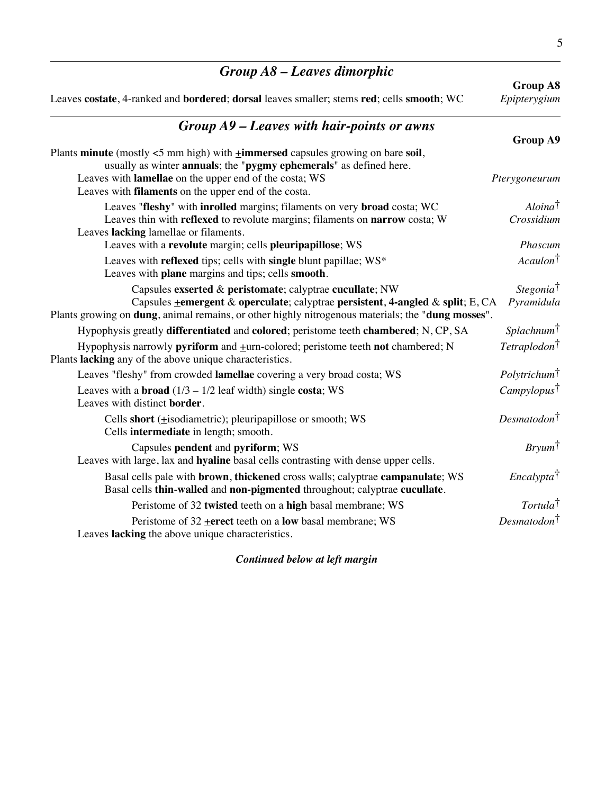| $Group A8 - Leaves dimorphic$                                                                                                                                                                                                                                                |                                     |
|------------------------------------------------------------------------------------------------------------------------------------------------------------------------------------------------------------------------------------------------------------------------------|-------------------------------------|
| Leaves costate, 4-ranked and bordered; dorsal leaves smaller; stems red; cells smooth; WC                                                                                                                                                                                    | <b>Group A8</b><br>Epipterygium     |
| $Group A9 - Leaves with hair-points or awns$                                                                                                                                                                                                                                 |                                     |
|                                                                                                                                                                                                                                                                              | <b>Group A9</b>                     |
| Plants minute (mostly $<$ 5 mm high) with $\pm$ immersed capsules growing on bare soil,<br>usually as winter annuals; the "pygmy ephemerals" as defined here.                                                                                                                |                                     |
| Leaves with lamellae on the upper end of the costa; WS<br>Leaves with <b>filaments</b> on the upper end of the costa.                                                                                                                                                        | Pterygoneurum                       |
| Leaves "fleshy" with inrolled margins; filaments on very broad costa; WC                                                                                                                                                                                                     | $Aloina^{\dagger}$                  |
| Leaves thin with reflexed to revolute margins; filaments on narrow costa; W<br>Leaves lacking lamellae or filaments.                                                                                                                                                         | Crossidium                          |
| Leaves with a revolute margin; cells pleuripapillose; WS                                                                                                                                                                                                                     | Phascum                             |
| Leaves with reflexed tips; cells with single blunt papillae; WS*<br>Leaves with plane margins and tips; cells smooth.                                                                                                                                                        | Acaulon <sup>†</sup>                |
| Capsules exserted & peristomate; calyptrae cucullate; NW<br>Capsules <b>+emergent &amp; operculate</b> ; calyptrae persistent, 4-angled & split; E, CA<br>Plants growing on <b>dung</b> , animal remains, or other highly nitrogenous materials; the " <b>dung mosses</b> ". | Stegonia <sup>†</sup><br>Pyramidula |
| Hypophysis greatly differentiated and colored; peristome teeth chambered; N, CP, SA                                                                                                                                                                                          | $Splachnum^{\dagger}$               |
| Hypophysis narrowly pyriform and +urn-colored; peristome teeth not chambered; N<br>Plants lacking any of the above unique characteristics.                                                                                                                                   | Tetraplodon <sup>†</sup>            |
| Leaves "fleshy" from crowded lamellae covering a very broad costa; WS                                                                                                                                                                                                        | Polytrichum <sup>†</sup>            |
| Leaves with a <b>broad</b> $(1/3 - 1/2 \text{ leaf width})$ single <b>costa</b> ; WS<br>Leaves with distinct border.                                                                                                                                                         | Camply lopus                        |
| Cells short (+isodiametric); pleuripapillose or smooth; WS<br>Cells intermediate in length; smooth.                                                                                                                                                                          | Desmatodon <sup>†</sup>             |
| Capsules pendent and pyriform; WS<br>Leaves with large, lax and hyaline basal cells contrasting with dense upper cells.                                                                                                                                                      | $Bryum^{\dagger}$                   |
| Basal cells pale with <b>brown</b> , thickened cross walls; calyptrae campanulate; WS<br>Basal cells thin-walled and non-pigmented throughout; calyptrae cucullate.                                                                                                          | <i>Encalypta</i> <sup>†</sup>       |
| Peristome of 32 twisted teeth on a high basal membrane; WS                                                                                                                                                                                                                   | Tortula <sup>†</sup>                |
| Peristome of $32$ + erect teeth on a low basal membrane; WS<br>Leaves lacking the above unique characteristics.                                                                                                                                                              | $Desmatodon^{\dagger}$              |

*Continued below at left margin*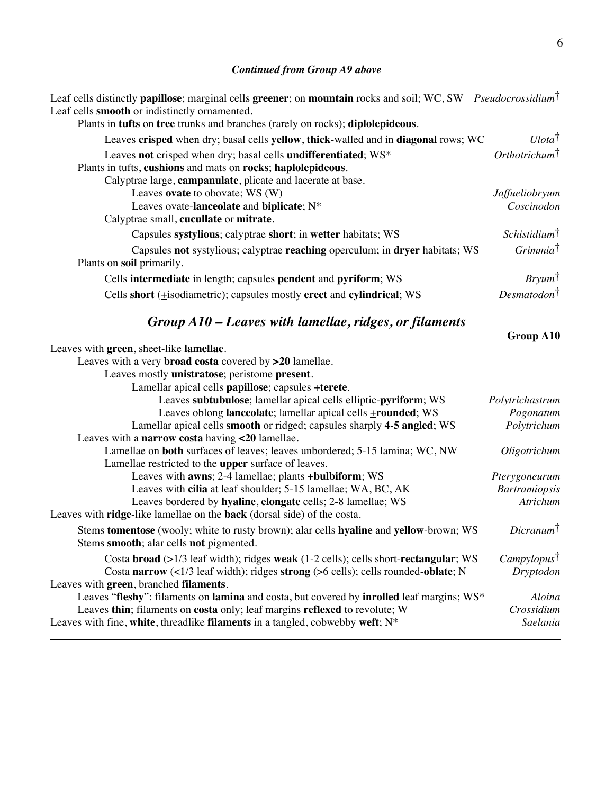#### *Continued from Group A9 above*

Leaf cells distinctly **papillose**; marginal cells **greener**; on **mountain** rocks and soil; WC, SW *Pseudocrossidium*† Leaf cells **smooth** or indistinctly ornamented.

| Plants in tufts on tree trunks and branches (rarely on rocks); diplolepideous.     |                          |
|------------------------------------------------------------------------------------|--------------------------|
| Leaves crisped when dry; basal cells yellow, thick-walled and in diagonal rows; WC | $U lota^{\dagger}$       |
| Leaves not crisped when dry; basal cells undifferentiated; WS*                     | $Orthotrichum^{\dagger}$ |
| Plants in tufts, cushions and mats on rocks; haplolepideous.                       |                          |
| Calyptrae large, campanulate, plicate and lacerate at base.                        |                          |
| Leaves ovate to obovate; WS (W)                                                    | Jaffueliobryum           |
| Leaves ovate-lanceolate and biplicate; N*                                          | Coscinodon               |
| Calyptrae small, cucullate or mitrate.                                             |                          |
| Capsules systylious; calyptrae short; in wetter habitats; WS                       | $Schistidium^{\dagger}$  |
| Capsules not systylious; calyptrae reaching operculum; in dryer habitats; WS       | $Grimmia^{\dagger}$      |
| Plants on soil primarily.                                                          |                          |
| Cells intermediate in length; capsules pendent and pyriform; WS                    | $Bryum^{\dagger}$        |
| Cells short $(\pm i$ sodiametric); capsules mostly erect and cylindrical; WS       | Desmatodon <sup>†</sup>  |

### *Group A10 – Leaves with lamellae, ridges, or filaments*

| Leaves with green, sheet-like lamellae.                                                                      |                      |
|--------------------------------------------------------------------------------------------------------------|----------------------|
| Leaves with a very <b>broad costa</b> covered by $>20$ lamellae.                                             |                      |
| Leaves mostly unistratose; peristome present.                                                                |                      |
| Lamellar apical cells papillose; capsules +terete.                                                           |                      |
| Leaves subtubulose; lamellar apical cells elliptic-pyriform; WS                                              | Polytrichastrum      |
| Leaves oblong lanceolate; lamellar apical cells <b>+rounded</b> ; WS                                         | Pogonatum            |
| Lamellar apical cells smooth or ridged; capsules sharply 4-5 angled; WS                                      | Polytrichum          |
| Leaves with a narrow costa having <20 lamellae.                                                              |                      |
| Lamellae on <b>both</b> surfaces of leaves; leaves unbordered; 5-15 lamina; WC, NW                           | Oligotrichum         |
| Lamellae restricted to the <b>upper</b> surface of leaves.                                                   |                      |
| Leaves with <b>awns</b> ; 2-4 lamellae; plants <b>+bulbiform</b> ; WS                                        | Pterygoneurum        |
| Leaves with cilia at leaf shoulder; 5-15 lamellae; WA, BC, AK                                                | <b>Bartramiopsis</b> |
| Leaves bordered by hyaline, elongate cells; 2-8 lamellae; WS                                                 | Atrichum             |
| Leaves with ridge-like lamellae on the back (dorsal side) of the costa.                                      |                      |
| Stems <b>tomentose</b> (wooly; white to rusty brown); alar cells <b>hyaline</b> and <b>yellow</b> -brown; WS | $Dicranum^{\dagger}$ |
| Stems smooth; alar cells not pigmented.                                                                      |                      |
| Costa broad (>1/3 leaf width); ridges weak (1-2 cells); cells short-rectangular; WS                          | Camply lopus         |
| Costa narrow $\left(\frac{1}{3} \right)$ leaf width); ridges strong (>6 cells); cells rounded-oblate; N      | Dryptodon            |
| Leaves with green, branched filaments.                                                                       |                      |
| Leaves "fleshy": filaments on lamina and costa, but covered by inrolled leaf margins; WS*                    | Aloina               |
| Leaves thin; filaments on costa only; leaf margins reflexed to revolute; W                                   | Crossidium           |
| Leaves with fine, white, threadlike filaments in a tangled, cobwebby weft; $N^*$                             | Saelania             |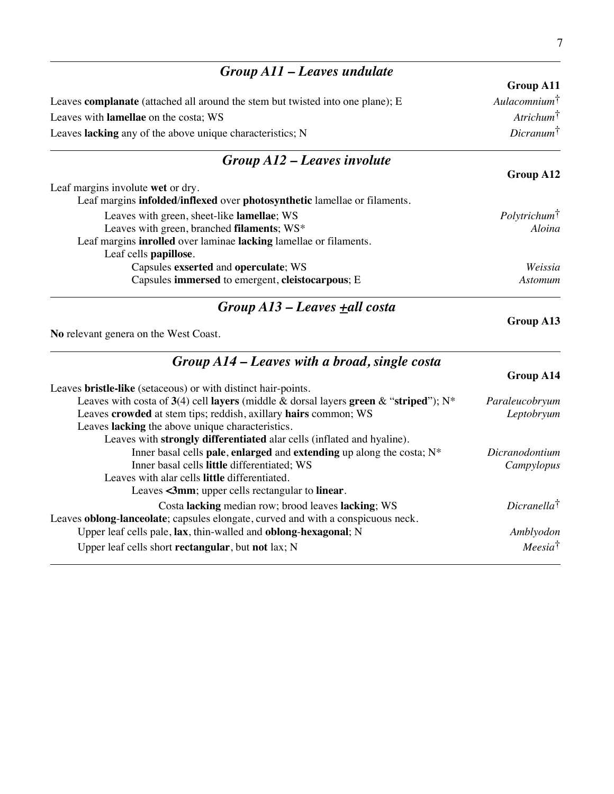| Group A11 - Leaves undulate                                                           |                         |
|---------------------------------------------------------------------------------------|-------------------------|
|                                                                                       | Group A11               |
| Leaves <b>complanate</b> (attached all around the stem but twisted into one plane); E | $Aulacomnium^{\dagger}$ |
| Leaves with lamellae on the costa; WS                                                 | $Artichum^{\dagger}$    |
| Leaves lacking any of the above unique characteristics; N                             | $Dicramum^{\dagger}$    |
| $Group A12 - Leaves involute$                                                         |                         |
|                                                                                       | Group A12               |
| Leaf margins involute wet or dry.                                                     |                         |
| Leaf margins infolded/inflexed over photosynthetic lamellae or filaments.             |                         |
| Leaves with green, sheet-like <b>lamellae</b> ; WS                                    | $Polytrichum^{\dagger}$ |
| Leaves with green, branched filaments; WS*                                            | Aloina                  |
| Leaf margins <b>inrolled</b> over laminae <b>lacking</b> lamellae or filaments.       |                         |
| Leaf cells <b>papillose</b> .                                                         |                         |
| Capsules exserted and operculate; WS                                                  | Weissia                 |
| Capsules immersed to emergent, cleistocarpous; E                                      | Astomum                 |

# *Group A13 – Leaves +all costa*

**No** relevant genera on the West Coast.

| $Group A14 - Leaves with a broad, single costa$                                         |                         |
|-----------------------------------------------------------------------------------------|-------------------------|
|                                                                                         | <b>Group A14</b>        |
| Leaves <b>bristle-like</b> (setaceous) or with distinct hair-points.                    |                         |
| Leaves with costa of 3(4) cell layers (middle & dorsal layers green & "striped"); $N^*$ | Paraleucobryum          |
| Leaves crowded at stem tips; reddish, axillary hairs common; WS                         | Leptobryum              |
| Leaves lacking the above unique characteristics.                                        |                         |
| Leaves with strongly differentiated alar cells (inflated and hyaline).                  |                         |
| Inner basal cells pale, enlarged and extending up along the costa; $N^*$                | Dicranodontium          |
| Inner basal cells little differentiated; WS                                             | Campylopus              |
| Leaves with alar cells little differentiated.                                           |                         |
| Leaves <3mm; upper cells rectangular to linear.                                         |                         |
| Costa lacking median row; brood leaves lacking; WS                                      | Dicranella <sup>†</sup> |
| Leaves oblong-lanceolate; capsules elongate, curved and with a conspicuous neck.        |                         |
| Upper leaf cells pale, lax, thin-walled and oblong-hexagonal; N                         | Amblyodon               |
| Upper leaf cells short rectangular, but not lax; N                                      | $Meesia^{\dagger}$      |
|                                                                                         |                         |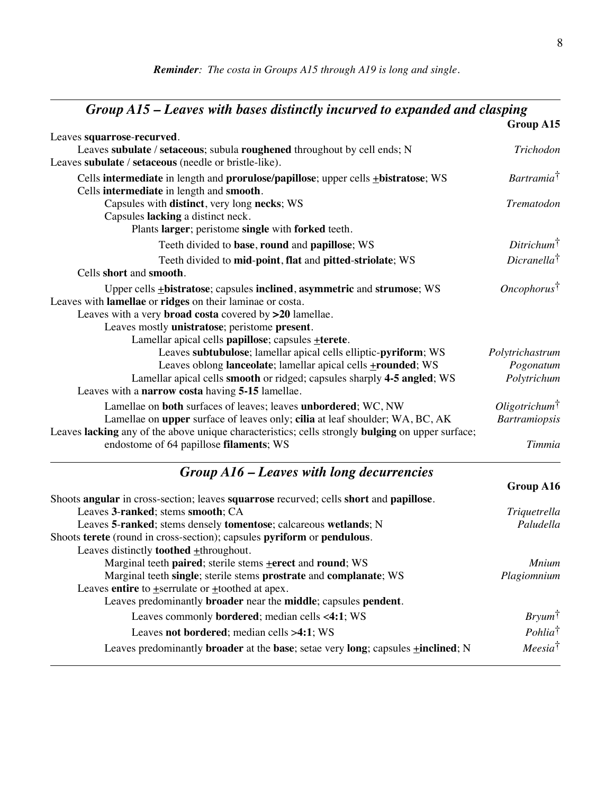#### *Group A15 – Leaves with bases distinctly incurved to expanded and clasping* **Group A15** Leaves **squarrose**-**recurved**. Leaves **subulate** / **setaceous**; subula **roughened** throughout by cell ends; N *Trichodon* Leaves **subulate** / **setaceous** (needle or bristle-like). Cells **intermediate** in length and **prorulose/papillose**; upper cells +**bistratose**; WS *Bartramia*† Cells **intermediate** in length and **smooth**. Capsules with **distinct**, very long **necks**; WS *Trematodon* Capsules **lacking** a distinct neck. Plants **larger**; peristome **single** with **forked** teeth. Teeth divided to **base**, **round** and **papillose**; WS *Ditrichum*† Teeth divided to **mid**-**point**, **flat** and **pitted**-**striolate**; WS *Dicranella*† Cells **short** and **smooth**. Upper cells +**bistratose**; capsules **inclined**, **asymmetric** and **strumose**; WS *Oncophorus*† Leaves with **lamellae** or **ridges** on their laminae or costa. Leaves with a very **broad costa** covered by **>20** lamellae. Leaves mostly **unistratose**; peristome **present**. Lamellar apical cells **papillose**; capsules +**terete**. Leaves **subtubulose**; lamellar apical cells elliptic-**pyriform**; WS *Polytrichastrum* Leaves oblong **lanceolate**; lamellar apical cells +**rounded**; WS *Pogonatum* Lamellar apical cells **smooth** or ridged; capsules sharply **4-5 angled**; WS *Polytrichum* Leaves with a **narrow costa** having **5-15** lamellae. Lamellae on **both** surfaces of leaves; leaves **unbordered**; WC, NW *Oligotrichum*<sup>†</sup><br>Lamellae on **upper** surface of leaves only; **cilia** at leaf shoulder; WA, BC, AK *Bartramiopsis* Lamellae on **upper** surface of leaves only; **cilia** at leaf shoulder; WA, BC, AK Leaves **lacking** any of the above unique characteristics; cells strongly **bulging** on upper surface; endostome of 64 papillose **filaments**; WS *Timmia*

#### *Group A16 – Leaves with long decurrencies*

| Shoots angular in cross-section; leaves squarrose recurved; cells short and papillose.                       |                       |
|--------------------------------------------------------------------------------------------------------------|-----------------------|
| Leaves 3-ranked; stems smooth; CA                                                                            | Triquetrella          |
| Leaves 5-ranked; stems densely tomentose; calcareous wetlands; N                                             | Paludella             |
| Shoots terete (round in cross-section); capsules pyriform or pendulous.                                      |                       |
| Leaves distinctly <b>toothed</b> +throughout.                                                                |                       |
| Marginal teeth paired; sterile stems +erect and round; WS                                                    | <i>Mnium</i>          |
| Marginal teeth single; sterile stems prostrate and complanate; WS                                            | Plagiomnium           |
| Leaves entire to $\pm$ serrulate or $\pm$ toothed at apex.                                                   |                       |
| Leaves predominantly <b>broader</b> near the <b>middle</b> ; capsules <b>pendent</b> .                       |                       |
| Leaves commonly <b>bordered</b> ; median cells <4:1; WS                                                      | $Bry \mu m^{\dagger}$ |
| Leaves not bordered; median cells >4:1; WS                                                                   | $Pohlia^{\dagger}$    |
| Leaves predominantly <b>broader</b> at the <b>base</b> ; setae very long; capsules $\pm$ <b>inclined</b> ; N | $Meesia^{\dagger}$    |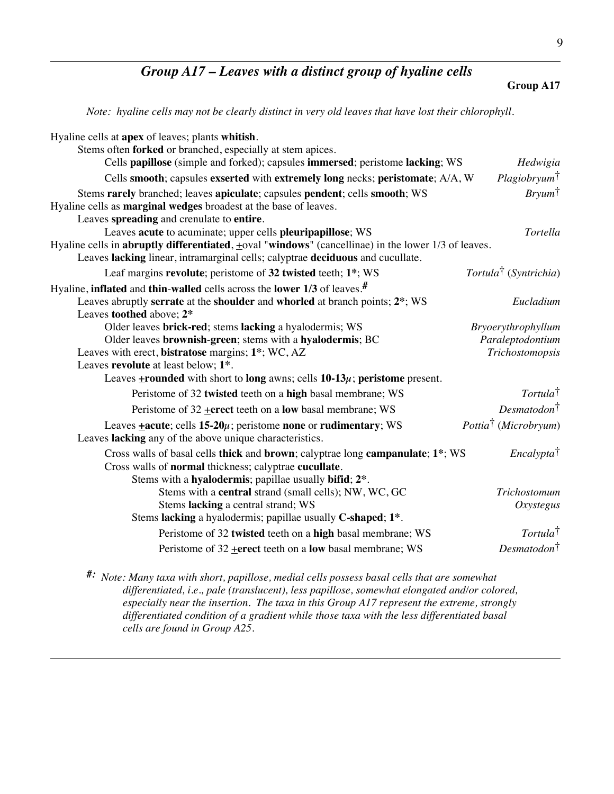### *Group A17 – Leaves with a distinct group of hyaline cells*

#### **Group A17**

*Note: hyaline cells may not be clearly distinct in very old leaves that have lost their chlorophyll.*

| Hyaline cells at apex of leaves; plants whitish.                                                                                                                                                                                                                                                      |                                   |
|-------------------------------------------------------------------------------------------------------------------------------------------------------------------------------------------------------------------------------------------------------------------------------------------------------|-----------------------------------|
| Stems often <b>forked</b> or branched, especially at stem apices.                                                                                                                                                                                                                                     |                                   |
| Cells papillose (simple and forked); capsules immersed; peristome lacking; WS                                                                                                                                                                                                                         | Hedwigia                          |
| Cells smooth; capsules exserted with extremely long necks; peristomate; A/A, W                                                                                                                                                                                                                        | Plagiobryum <sup>†</sup>          |
| Stems rarely branched; leaves apiculate; capsules pendent; cells smooth; WS<br>Hyaline cells as <b>marginal wedges</b> broadest at the base of leaves.                                                                                                                                                | $Bry \mu m^{\dagger}$             |
| Leaves spreading and crenulate to entire.<br>Leaves acute to acuminate; upper cells pleuripapillose; WS<br>Hyaline cells in abruptly differentiated, $\pm$ oval "windows" (cancellinae) in the lower 1/3 of leaves.<br>Leaves lacking linear, intramarginal cells; calyptrae deciduous and cucullate. | Tortella                          |
| Leaf margins revolute; peristome of 32 twisted teeth; 1*; WS                                                                                                                                                                                                                                          | Tortula <sup>†</sup> (Syntrichia) |
| Hyaline, inflated and thin-walled cells across the lower $1/3$ of leaves. <sup>#</sup>                                                                                                                                                                                                                |                                   |
| Leaves abruptly serrate at the shoulder and whorled at branch points; 2 <sup>*</sup> ; WS<br>Leaves toothed above; 2*                                                                                                                                                                                 | Eucladium                         |
| Older leaves brick-red; stems lacking a hyalodermis; WS                                                                                                                                                                                                                                               | Bryoerythrophyllum                |
| Older leaves brownish-green; stems with a hyalodermis; BC                                                                                                                                                                                                                                             | Paraleptodontium                  |
| Leaves with erect, bistratose margins; 1*; WC, AZ                                                                                                                                                                                                                                                     | Trichostomopsis                   |
| Leaves revolute at least below; 1 <sup>*</sup> .                                                                                                                                                                                                                                                      |                                   |
| Leaves $\pm$ rounded with short to long awns; cells 10-13 $\mu$ ; peristome present.                                                                                                                                                                                                                  |                                   |
| Peristome of 32 twisted teeth on a high basal membrane; WS                                                                                                                                                                                                                                            | Tortula <sup>†</sup>              |
| Peristome of $32$ + erect teeth on a low basal membrane; WS                                                                                                                                                                                                                                           | $Desmatodon^{\dagger}$            |
| Leaves $\pm$ acute; cells 15-20 $\mu$ ; peristome none or rudimentary; WS<br>Leaves lacking any of the above unique characteristics.                                                                                                                                                                  | Pottia <sup>†</sup> (Microbryum)  |
| Cross walls of basal cells thick and brown; calyptrae long campanulate; 1*; WS<br>Cross walls of normal thickness; calyptrae cucullate.                                                                                                                                                               | Encalypta <sup>†</sup>            |
| Stems with a hyalodermis; papillae usually bifid; 2 <sup>*</sup> .<br>Stems with a central strand (small cells); NW, WC, GC                                                                                                                                                                           | Trichostomum                      |
| Stems lacking a central strand; WS                                                                                                                                                                                                                                                                    | Oxystegus                         |
| Stems lacking a hyalodermis; papillae usually C-shaped; 1*.                                                                                                                                                                                                                                           |                                   |
| Peristome of 32 twisted teeth on a high basal membrane; WS                                                                                                                                                                                                                                            | Tortula <sup>†</sup>              |
| Peristome of 32 + erect teeth on a low basal membrane; WS                                                                                                                                                                                                                                             | Desmatodon <sup>†</sup>           |

*#: Note: Many taxa with short, papillose, medial cells possess basal cells that are somewhat differentiated, i.e., pale (translucent), less papillose, somewhat elongated and/or colored, especially near the insertion. The taxa in this Group A17 represent the extreme, strongly differentiated condition of a gradient while those taxa with the less differentiated basal cells are found in Group A25.*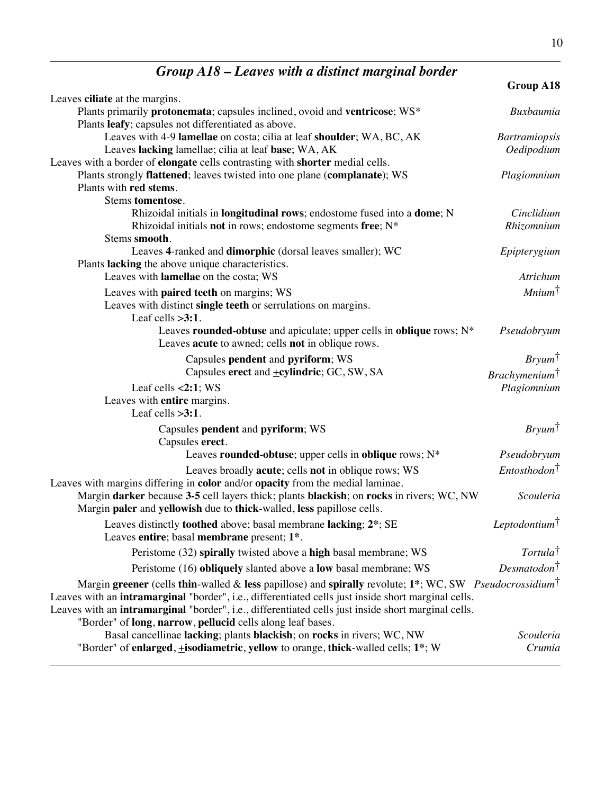|                                                                                                                                                            | Group A18                 |
|------------------------------------------------------------------------------------------------------------------------------------------------------------|---------------------------|
| Leaves ciliate at the margins.                                                                                                                             |                           |
| Plants primarily protonemata; capsules inclined, ovoid and ventricose; WS*                                                                                 | <b>Buxbaumia</b>          |
| Plants leafy; capsules not differentiated as above.                                                                                                        |                           |
| Leaves with 4-9 lamellae on costa; cilia at leaf shoulder; WA, BC, AK                                                                                      | <b>Bartramiopsis</b>      |
| Leaves lacking lamellae; cilia at leaf base; WA, AK                                                                                                        | Oedipodium                |
| Leaves with a border of elongate cells contrasting with shorter medial cells.<br>Plants strongly flattened; leaves twisted into one plane (complanate); WS | Plagiomnium               |
| Plants with red stems.                                                                                                                                     |                           |
| Stems tomentose.                                                                                                                                           |                           |
| Rhizoidal initials in longitudinal rows; endostome fused into a dome; N                                                                                    | Cinclidium                |
| Rhizoidal initials not in rows; endostome segments free; N*                                                                                                | Rhizomnium                |
| Stems smooth.                                                                                                                                              |                           |
| Leaves 4-ranked and dimorphic (dorsal leaves smaller); WC                                                                                                  | Epipterygium              |
| Plants lacking the above unique characteristics.                                                                                                           |                           |
| Leaves with lamellae on the costa; WS                                                                                                                      | Atrichum                  |
| Leaves with paired teeth on margins; WS                                                                                                                    | $Minimum^{\dagger}$       |
| Leaves with distinct single teeth or serrulations on margins.                                                                                              |                           |
| Leaf cells $>3:1$ .                                                                                                                                        |                           |
| Leaves rounded-obtuse and apiculate; upper cells in oblique rows; N*                                                                                       | Pseudobryum               |
| Leaves acute to awned; cells not in oblique rows.                                                                                                          |                           |
| Capsules pendent and pyriform; WS                                                                                                                          | $Bryum^{\dagger}$         |
| Capsules erect and +cylindric; GC, SW, SA                                                                                                                  | Brachymenium <sup>†</sup> |
| Leaf cells $<2:1$ ; WS                                                                                                                                     | Plagiomnium               |
| Leaves with entire margins.                                                                                                                                |                           |
| Leaf cells $>3:1$ .                                                                                                                                        |                           |
| Capsules pendent and pyriform; WS                                                                                                                          | $Bryum^{\dagger}$         |
| Capsules erect.                                                                                                                                            |                           |
| Leaves rounded-obtuse; upper cells in oblique rows; $N^*$                                                                                                  | Pseudobryum               |
| Leaves broadly acute; cells not in oblique rows; WS                                                                                                        | $Entosthodon^{\dagger}$   |
| Leaves with margins differing in color and/or opacity from the medial laminae.                                                                             |                           |
| Margin darker because 3-5 cell layers thick; plants blackish; on rocks in rivers; WC, NW                                                                   | Scouleria                 |
| Margin paler and yellowish due to thick-walled, less papillose cells.                                                                                      |                           |
| Leaves distinctly toothed above; basal membrane lacking; 2*; SE                                                                                            | Leptodontium $\dagger$    |
| Leaves entire; basal membrane present; 1*.                                                                                                                 |                           |
| Peristome (32) spirally twisted above a high basal membrane; WS                                                                                            | $Tortula^{\dagger}$       |
| Peristome (16) obliquely slanted above a low basal membrane; WS                                                                                            | Desmatodon <sup>†</sup>   |
| Margin greener (cells thin-walled & less papillose) and spirally revolute; 1*; WC, SW Pseudocrossidium <sup>†</sup>                                        |                           |
| Leaves with an intramarginal "border", i.e., differentiated cells just inside short marginal cells.                                                        |                           |
| Leaves with an intramarginal "border", i.e., differentiated cells just inside short marginal cells.                                                        |                           |
| "Border" of long, narrow, pellucid cells along leaf bases.                                                                                                 |                           |
| Basal cancellinae lacking; plants blackish; on rocks in rivers; WC, NW                                                                                     | Scouleria                 |
| "Border" of enlarged, <i>i</i> sodiametric, yellow to orange, thick-walled cells; 1 <sup>*</sup> ; W                                                       | Crumia                    |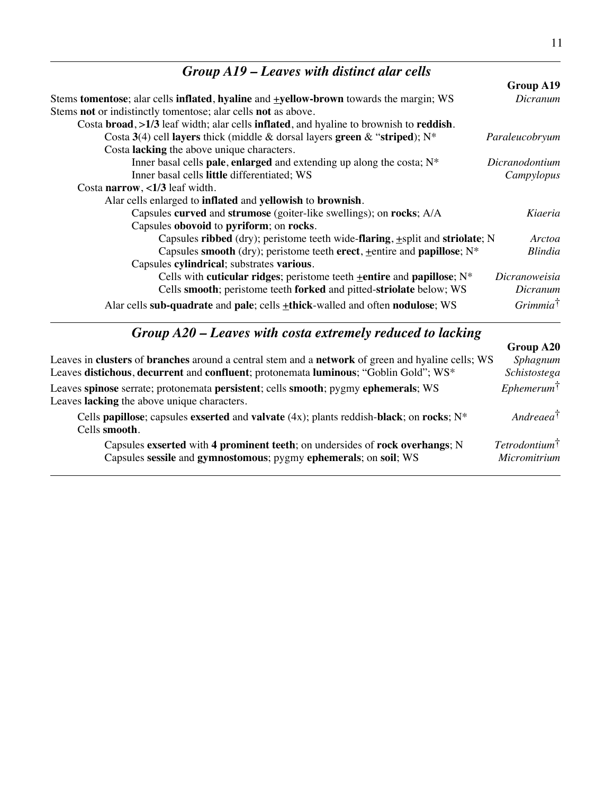| $Group A19$ – Leaves with distinct alar cells                                                 |                     |
|-----------------------------------------------------------------------------------------------|---------------------|
|                                                                                               | Group A19           |
| Stems tomentose; alar cells inflated, hyaline and <b>+yellow-brown</b> towards the margin; WS | Dicranum            |
| Stems not or indistinctly tomentose; alar cells not as above.                                 |                     |
| Costa broad, >1/3 leaf width; alar cells inflated, and hyaline to brownish to reddish.        |                     |
| Costa 3(4) cell layers thick (middle & dorsal layers green & "striped); $N^*$                 | Paraleucobryum      |
| Costa lacking the above unique characters.                                                    |                     |
| Inner basal cells pale, enlarged and extending up along the costa; $N^*$                      | Dicranodontium      |
| Inner basal cells little differentiated; WS                                                   | Campylopus          |
| Costa narrow, $\langle 1/3 \rangle$ leaf width.                                               |                     |
| Alar cells enlarged to inflated and yellowish to brownish.                                    |                     |
| Capsules curved and strumose (goiter-like swellings); on rocks; A/A                           | Kiaeria             |
| Capsules obovoid to pyriform; on rocks.                                                       |                     |
| Capsules ribbed (dry); peristome teeth wide-flaring, +split and striolate; N                  | Arctoa              |
| Capsules smooth (dry); peristome teeth erect, $\pm$ entire and papillose; N*                  | <b>Blindia</b>      |
| Capsules cylindrical; substrates various.                                                     |                     |
| Cells with cuticular ridges; peristome teeth $\pm$ entire and papillose; N <sup>*</sup>       | Dicranoweisia       |
| Cells smooth; peristome teeth forked and pitted-striolate below; WS                           | Dicranum            |
| Alar cells sub-quadrate and pale; cells +thick-walled and often nodulose; WS                  | $Grimmia^{\dagger}$ |

### *Group A20 – Leaves with costa extremely reduced to lacking*

|                                                                                                                                                  | Group A20                               |
|--------------------------------------------------------------------------------------------------------------------------------------------------|-----------------------------------------|
| Leaves in clusters of branches around a central stem and a network of green and hyaline cells; WS                                                | Sphagnum                                |
| Leaves distichous, decurrent and confluent; protonemata luminous; "Goblin Gold"; WS*                                                             | Schistostega                            |
| Leaves spinose serrate; protonemata persistent; cells smooth; pygmy ephemerals; WS<br>Leaves lacking the above unique characters.                | Ephemerum <sup>†</sup>                  |
| Cells papillose; capsules exserted and valvate $(4x)$ ; plants reddish-black; on rocks; $N^*$<br>Cells smooth.                                   | $Andreaea^{\dagger}$                    |
| Capsules exserted with 4 prominent teeth; on undersides of rock overhangs; N<br>Capsules sessile and gymnostomous; pygmy ephemerals; on soil; WS | $Tetrodotium^{\dagger}$<br>Micromitrium |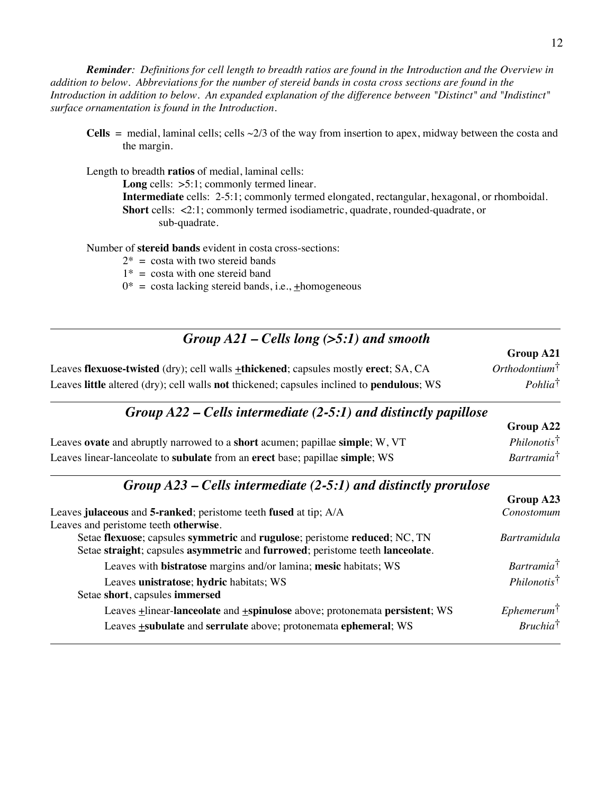*Reminder: Definitions for cell length to breadth ratios are found in the Introduction and the Overview in addition to below. Abbreviations for the number of stereid bands in costa cross sections are found in the Introduction in addition to below. An expanded explanation of the difference between "Distinct" and "Indistinct" surface ornamentation is found in the Introduction.*

**Cells** = medial, laminal cells; cells  $\sim$ 2/3 of the way from insertion to apex, midway between the costa and the margin.

Length to breadth **ratios** of medial, laminal cells:

Long cells:  $>5:1$ ; commonly termed linear. **Intermediate** cells: 2-5:1; commonly termed elongated, rectangular, hexagonal, or rhomboidal. **Short** cells: <2:1; commonly termed isodiametric, quadrate, rounded-quadrate, or sub-quadrate.

Number of **stereid bands** evident in costa cross-sections:

- $2^*$  = costa with two stereid bands
- $1^*$  = costa with one stereid band
- $0^*$  = costa lacking stereid bands, i.e.,  $\pm$ homogeneous

| Group $A21$ – Cells long (>5:1) and smooth                                                  |                           |
|---------------------------------------------------------------------------------------------|---------------------------|
|                                                                                             | Group A21                 |
| Leaves flexuose-twisted (dry); cell walls <b>±thickened</b> ; capsules mostly erect; SA, CA | Orthodontium <sup>†</sup> |
| Leaves little altered (dry); cell walls not thickened; capsules inclined to pendulous; WS   | $Pohlia^{\dagger}$        |

#### *Group A22 – Cells intermediate (2-5:1) and distinctly papillose*

|                                                                              | UUUUV A22                 |
|------------------------------------------------------------------------------|---------------------------|
| Leaves ovate and abruptly narrowed to a short acumen; papillae simple; W, VT | $Philonotis$ <sup>†</sup> |
| Leaves linear-lanceolate to subulate from an erect base; papillae simple; WS | Bartramia <sup>†</sup>    |

### *Group A23 – Cells intermediate (2-5:1) and distinctly prorulose*

|                                                                                           | Group A23              |
|-------------------------------------------------------------------------------------------|------------------------|
| Leaves julaceous and 5-ranked; peristome teeth fused at tip; A/A                          | Conostomum             |
| Leaves and peristome teeth otherwise.                                                     |                        |
| Setae flexuose; capsules symmetric and rugulose; peristome reduced; NC, TN                | <b>Bartramidula</b>    |
| Setae straight; capsules asymmetric and furrowed; peristome teeth lanceolate.             |                        |
| Leaves with bistratose margins and/or lamina; mesic habitats; WS                          | Bartramia <sup>†</sup> |
| Leaves unistratose; hydric habitats; WS                                                   | <i>Philonotist</i>     |
| Setae short, capsules immersed                                                            |                        |
| Leaves <b>+</b> linear-lanceolate and <b>+spinulose</b> above; protonemata persistent; WS | $E$ phemerum $\dagger$ |
| Leaves +subulate and serrulate above; protonemata ephemeral; WS                           | $Bruchia^{\dagger}$    |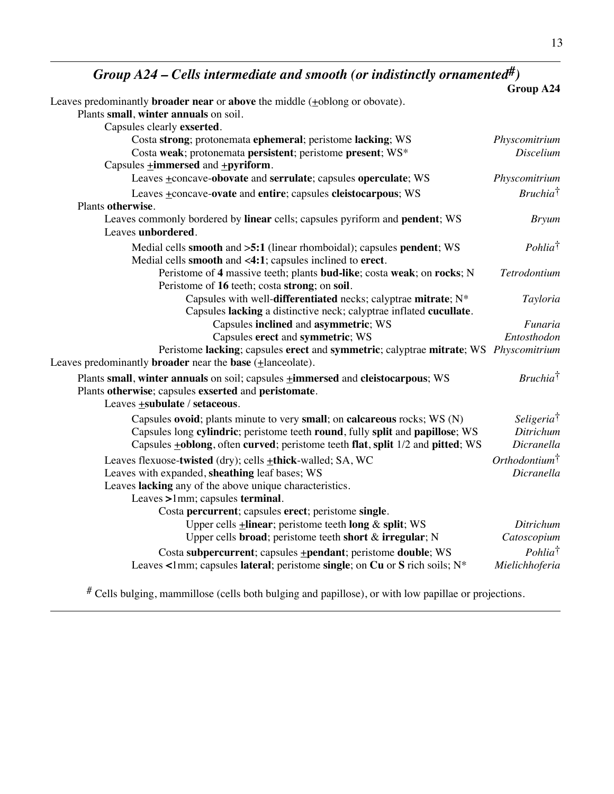*Group A24 – Cells intermediate and smooth (or indistinctly ornamented#)*

|                                                                                                                                                                       | Group A24                     |
|-----------------------------------------------------------------------------------------------------------------------------------------------------------------------|-------------------------------|
| Leaves predominantly <b>broader near</b> or <b>above</b> the middle $(+$ oblong or obovate).                                                                          |                               |
| Plants small, winter annuals on soil.                                                                                                                                 |                               |
| Capsules clearly exserted.                                                                                                                                            |                               |
| Costa strong; protonemata ephemeral; peristome lacking; WS                                                                                                            | Physcomitrium                 |
| Costa weak; protonemata persistent; peristome present; WS*                                                                                                            | Discelium                     |
| Capsules $\pm$ <b>immersed</b> and $\pm$ <b>pyriform</b> .                                                                                                            |                               |
| Leaves +concave-obovate and serrulate; capsules operculate; WS                                                                                                        | Physcomitrium                 |
| Leaves +concave-ovate and entire; capsules cleistocarpous; WS                                                                                                         | $Bruchia^{\dagger}$           |
| Plants otherwise.                                                                                                                                                     |                               |
| Leaves commonly bordered by linear cells; capsules pyriform and pendent; WS<br>Leaves unbordered.                                                                     | <b>Bryum</b>                  |
| Medial cells smooth and >5:1 (linear rhomboidal); capsules pendent; WS<br>Medial cells smooth and <4:1; capsules inclined to erect.                                   | $Pohlia^{\dagger}$            |
| Peristome of 4 massive teeth; plants bud-like; costa weak; on rocks; N<br>Peristome of 16 teeth; costa strong; on soil.                                               | Tetrodontium                  |
| Capsules with well-differentiated necks; calyptrae mitrate; N*<br>Capsules lacking a distinctive neck; calyptrae inflated cucullate.                                  | Tayloria                      |
| Capsules inclined and asymmetric; WS                                                                                                                                  | Funaria                       |
| Capsules erect and symmetric; WS                                                                                                                                      | Entosthodon                   |
| Peristome lacking; capsules erect and symmetric; calyptrae mitrate; WS Physcomitrium<br>Leaves predominantly <b>broader</b> near the <b>base</b> $( \pm$ lanceolate). |                               |
| Plants small, winter annuals on soil; capsules <b>+immersed</b> and cleistocarpous; WS                                                                                | $Bruchia^{\dagger}$           |
| Plants otherwise; capsules exserted and peristomate.<br>Leaves <b>+subulate</b> / setaceous.                                                                          |                               |
| Capsules ovoid; plants minute to very small; on calcareous rocks; WS (N)                                                                                              | <i>Seligeria</i> <sup>†</sup> |
| Capsules long cylindric; peristome teeth round, fully split and papillose; WS                                                                                         | Ditrichum                     |
| Capsules <b>+oblong</b> , often curved; peristome teeth flat, split 1/2 and pitted; WS                                                                                | Dicranella                    |
| Leaves flexuose-twisted (dry); cells +thick-walled; SA, WC                                                                                                            | Orthodontium <sup>†</sup>     |
| Leaves with expanded, sheathing leaf bases; WS                                                                                                                        | Dicranella                    |
| Leaves lacking any of the above unique characteristics.                                                                                                               |                               |
| Leaves >1mm; capsules terminal.                                                                                                                                       |                               |
| Costa percurrent; capsules erect; peristome single.                                                                                                                   |                               |
| Upper cells <b>+linear</b> ; peristome teeth long & split; WS                                                                                                         | Ditrichum                     |
| Upper cells broad; peristome teeth short & irregular; N                                                                                                               | Catoscopium                   |
| Costa subpercurrent; capsules <b>+pendant</b> ; peristome <b>double</b> ; WS                                                                                          | Pohlia <sup>†</sup>           |
| Leaves <1mm; capsules lateral; peristome single; on Cu or S rich soils; $N^*$                                                                                         | Mielichhoferia                |
|                                                                                                                                                                       |                               |

# Cells bulging, mammillose (cells both bulging and papillose), or with low papillae or projections.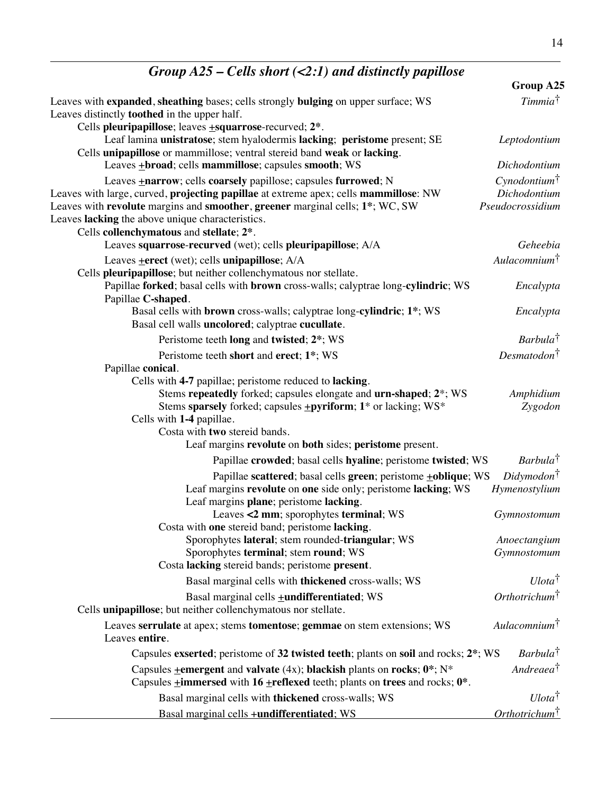| Group $A25$ – Cells short (<2:1) and distinctly papillose                                                                                                                                                                                                                                                                                                                                 |                                                              |
|-------------------------------------------------------------------------------------------------------------------------------------------------------------------------------------------------------------------------------------------------------------------------------------------------------------------------------------------------------------------------------------------|--------------------------------------------------------------|
|                                                                                                                                                                                                                                                                                                                                                                                           | Group A25                                                    |
| Leaves with expanded, sheathing bases; cells strongly bulging on upper surface; WS<br>Leaves distinctly <b>toothed</b> in the upper half.                                                                                                                                                                                                                                                 | Timmia <sup>†</sup>                                          |
| Cells pleuripapillose; leaves $\pm$ squarrose-recurved; $2^*$ .<br>Leaf lamina unistratose; stem hyalodermis lacking; peristome present; SE<br>Cells unipapillose or mammillose; ventral stereid band weak or lacking.                                                                                                                                                                    | Leptodontium                                                 |
| Leaves <b>+broad</b> ; cells <b>mammillose</b> ; capsules <b>smooth</b> ; WS                                                                                                                                                                                                                                                                                                              | Dichodontium                                                 |
| Leaves <b>+narrow</b> ; cells <b>coarsely</b> papillose; capsules <b>furrowed</b> ; N<br>Leaves with large, curved, <b>projecting papillae</b> at extreme apex; cells <b>mammillose</b> : NW<br>Leaves with revolute margins and smoother, greener marginal cells; 1 <sup>*</sup> ; WC, SW<br>Leaves lacking the above unique characteristics.<br>Cells collenchymatous and stellate; 2*. | Cynodontium <sup>†</sup><br>Dichodontium<br>Pseudocrossidium |
| Leaves squarrose-recurved (wet); cells pleuripapillose; A/A                                                                                                                                                                                                                                                                                                                               | Geheebia                                                     |
| Leaves $\pm$ erect (wet); cells unipapillose; $A/A$<br>Cells pleuripapillose; but neither collenchymatous nor stellate.                                                                                                                                                                                                                                                                   | $Aulacomnium^{\dagger}$                                      |
| Papillae forked; basal cells with brown cross-walls; calyptrae long-cylindric; WS<br>Papillae C-shaped.                                                                                                                                                                                                                                                                                   | Encalypta                                                    |
| Basal cells with brown cross-walls; calyptrae long-cylindric; 1*; WS<br>Basal cell walls uncolored; calyptrae cucullate.                                                                                                                                                                                                                                                                  | Encalypta                                                    |
| Peristome teeth long and twisted; 2*; WS                                                                                                                                                                                                                                                                                                                                                  | Barbula <sup>†</sup>                                         |
| Peristome teeth short and erect; 1*; WS                                                                                                                                                                                                                                                                                                                                                   | Desmatodon <sup>†</sup>                                      |
| Papillae conical.<br>Cells with 4-7 papillae; peristome reduced to lacking.<br>Stems repeatedly forked; capsules elongate and urn-shaped; 2 <sup>*</sup> ; WS<br>Stems sparsely forked; capsules <b>+pyriform</b> ; 1 <sup>*</sup> or lacking; WS <sup>*</sup><br>Cells with 1-4 papillae.<br>Costa with two stereid bands.<br>Leaf margins revolute on both sides; peristome present.    | Amphidium<br>Zygodon                                         |
| Papillae crowded; basal cells hyaline; peristome twisted; WS                                                                                                                                                                                                                                                                                                                              | Barbula <sup>†</sup>                                         |
| Papillae scattered; basal cells green; peristome +oblique; WS<br>Leaf margins revolute on one side only; peristome lacking; WS<br>Leaf margins plane; peristome lacking.                                                                                                                                                                                                                  | $Didymodon$ †<br>Hymenostylium                               |
| Leaves <2 mm; sporophytes terminal; WS<br>Costa with one stereid band; peristome lacking.                                                                                                                                                                                                                                                                                                 | Gymnostomum                                                  |
| Sporophytes lateral; stem rounded-triangular; WS<br>Sporophytes terminal; stem round; WS<br>Costa lacking stereid bands; peristome present.                                                                                                                                                                                                                                               | Anoectangium<br>Gymnostomum                                  |
| Basal marginal cells with thickened cross-walls; WS                                                                                                                                                                                                                                                                                                                                       | $U$ lota <sup>†</sup>                                        |
| Basal marginal cells <b>+undifferentiated</b> ; WS<br>Cells unipapillose; but neither collenchymatous nor stellate.                                                                                                                                                                                                                                                                       | Orthotrichum <sup>†</sup>                                    |
| Leaves serrulate at apex; stems tomentose; gemmae on stem extensions; WS<br>Leaves entire.                                                                                                                                                                                                                                                                                                | Aulacomnium <sup>†</sup>                                     |
| Capsules exserted; peristome of 32 twisted teeth; plants on soil and rocks; 2 <sup>*</sup> ; WS                                                                                                                                                                                                                                                                                           | Barbula <sup>†</sup>                                         |
| Capsules $\pm$ emergent and valvate (4x); blackish plants on rocks; $0^*$ ; N <sup>*</sup><br>Capsules $\pm$ <b>immersed</b> with 16 $\pm$ <b>reflexed</b> teeth; plants on <b>trees</b> and rocks; $0$ <sup>*</sup> .                                                                                                                                                                    | Andreaea <sup>†</sup>                                        |
| Basal marginal cells with thickened cross-walls; WS                                                                                                                                                                                                                                                                                                                                       | $U lota^{\dagger}$                                           |
| Basal marginal cells +undifferentiated; WS                                                                                                                                                                                                                                                                                                                                                | Orthotrichum <sup>†</sup>                                    |

14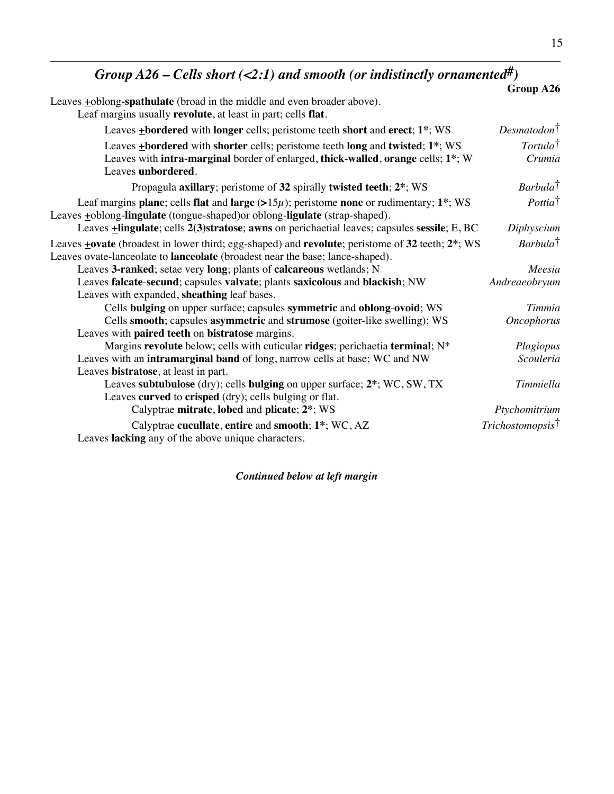# *Group A26 – Cells short (<2:1) and smooth (or indistinctly ornamented#)*

|                                                                                                                                                                                             | Group A26                      |
|---------------------------------------------------------------------------------------------------------------------------------------------------------------------------------------------|--------------------------------|
| Leaves +oblong-spathulate (broad in the middle and even broader above).                                                                                                                     |                                |
| Leaf margins usually revolute, at least in part; cells flat.                                                                                                                                |                                |
| Leaves $\pm$ bordered with longer cells; peristome teeth short and erect; $1^*$ ; WS                                                                                                        | Desmatodon <sup>†</sup>        |
| Leaves +bordered with shorter cells; peristome teeth long and twisted; 1*; WS<br>Leaves with intra-marginal border of enlarged, thick-walled, orange cells; $1^*$ ; W<br>Leaves unbordered. | Tortula <sup>†</sup><br>Crumia |
| Propagula axillary; peristome of 32 spirally twisted teeth; 2*; WS                                                                                                                          | $Barbula^{\dagger}$            |
| Leaf margins plane; cells flat and large $(>15\mu)$ ; peristome none or rudimentary; 1 <sup>*</sup> ; WS<br>Leaves +oblong-lingulate (tongue-shaped) or oblong-ligulate (strap-shaped).     | $Pottia^{\dagger}$             |
| Leaves <b>+lingulate</b> ; cells 2(3)stratose; awns on perichaetial leaves; capsules sessile; E, BC                                                                                         | Diphyscium                     |
| Leaves +ovate (broadest in lower third; egg-shaped) and revolute; peristome of 32 teeth; 2*; WS<br>Leaves ovate-lanceolate to <b>lanceolate</b> (broadest near the base; lance-shaped).     | $Barbula^{\dagger}$            |
| Leaves 3-ranked; setae very long; plants of calcareous wetlands; N                                                                                                                          | Meesia                         |
| Leaves falcate-secund; capsules valvate; plants saxicolous and blackish; NW                                                                                                                 | Andreaeobryum                  |
| Leaves with expanded, sheathing leaf bases.                                                                                                                                                 |                                |
| Cells bulging on upper surface; capsules symmetric and oblong-ovoid; WS                                                                                                                     | Timmia                         |
| Cells smooth; capsules asymmetric and strumose (goiter-like swelling); WS                                                                                                                   | <b>Oncophorus</b>              |
| Leaves with paired teeth on bistratose margins.                                                                                                                                             |                                |
| Margins revolute below; cells with cuticular ridges; perichaetia terminal; N*                                                                                                               | Plagiopus                      |
| Leaves with an intramarginal band of long, narrow cells at base; WC and NW                                                                                                                  | Scouleria                      |
| Leaves bistratose, at least in part.                                                                                                                                                        |                                |
| Leaves subtubulose (dry); cells bulging on upper surface; 2*; WC, SW, TX                                                                                                                    | Timmiella                      |
| Leaves curved to crisped (dry); cells bulging or flat.                                                                                                                                      |                                |
| Calyptrae mitrate, lobed and plicate; 2*; WS                                                                                                                                                | Ptychomitrium                  |
| Calyptrae cucullate, entire and smooth; 1*; WC, AZ<br>Leaves lacking any of the above unique characters.                                                                                    | Trichostomopsis <sup>†</sup>   |

*Continued below at left margin*